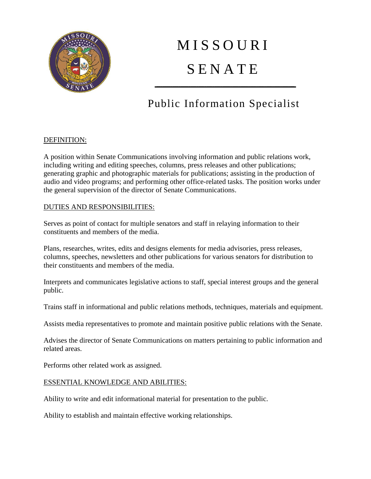

# **MISSOURI SENATE**

# Public Information Specialist

----------------------------------------------------------------------

## DEFINITION:

A position within Senate Communications involving information and public relations work, including writing and editing speeches, columns, press releases and other publications; generating graphic and photographic materials for publications; assisting in the production of audio and video programs; and performing other office-related tasks. The position works under the general supervision of the director of Senate Communications.

## DUTIES AND RESPONSIBILITIES:

Serves as point of contact for multiple senators and staff in relaying information to their constituents and members of the media.

Plans, researches, writes, edits and designs elements for media advisories, press releases, columns, speeches, newsletters and other publications for various senators for distribution to their constituents and members of the media.

Interprets and communicates legislative actions to staff, special interest groups and the general public.

Trains staff in informational and public relations methods, techniques, materials and equipment.

Assists media representatives to promote and maintain positive public relations with the Senate.

Advises the director of Senate Communications on matters pertaining to public information and related areas.

Performs other related work as assigned.

#### ESSENTIAL KNOWLEDGE AND ABILITIES:

Ability to write and edit informational material for presentation to the public.

Ability to establish and maintain effective working relationships.